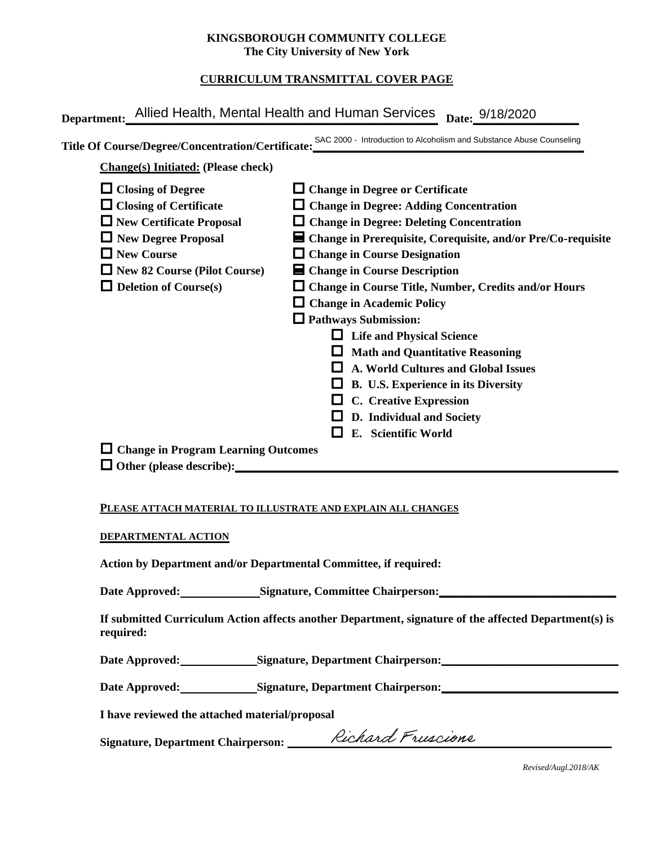#### **KINGSBOROUGH COMMUNITY COLLEGE The City University of New York**

# **CURRICULUM TRANSMITTAL COVER PAGE**

| <b>Change(s) Initiated: (Please check)</b> | Title Of Course/Degree/Concentration/Certificate: SAC 2000 - Introduction to Alcoholism and Substance Abuse Counseling |
|--------------------------------------------|------------------------------------------------------------------------------------------------------------------------|
| $\Box$ Closing of Degree                   | $\Box$ Change in Degree or Certificate                                                                                 |
| $\Box$ Closing of Certificate              | $\Box$ Change in Degree: Adding Concentration                                                                          |
| $\Box$ New Certificate Proposal            | $\Box$ Change in Degree: Deleting Concentration                                                                        |
| $\Box$ New Degree Proposal                 | ■ Change in Prerequisite, Corequisite, and/or Pre/Co-requisite                                                         |
| $\Box$ New Course                          | $\Box$ Change in Course Designation                                                                                    |
| $\Box$ New 82 Course (Pilot Course)        | ■ Change in Course Description                                                                                         |
| $\Box$ Deletion of Course(s)               | $\Box$ Change in Course Title, Number, Credits and/or Hours                                                            |
|                                            | $\Box$ Change in Academic Policy                                                                                       |
|                                            | $\Box$ Pathways Submission:                                                                                            |
|                                            | $\Box$ Life and Physical Science                                                                                       |
|                                            | $\Box$ Math and Quantitative Reasoning                                                                                 |
|                                            | A. World Cultures and Global Issues                                                                                    |
|                                            | B. U.S. Experience in its Diversity                                                                                    |
|                                            | $\Box$ C. Creative Expression                                                                                          |
|                                            | D. Individual and Society                                                                                              |
|                                            | E. Scientific World<br>l I                                                                                             |
| $\Box$ Change in Program Learning Outcomes |                                                                                                                        |

### **PLEASE ATTACH MATERIAL TO ILLUSTRATE AND EXPLAIN ALL CHANGES**

#### **DEPARTMENTAL ACTION**

**Action by Department and/or Departmental Committee, if required:**

Date Approved: Signature, Committee Chairperson:

**If submitted Curriculum Action affects another Department, signature of the affected Department(s) is required:**

Date Approved: Signature, Department Chairperson:

Date Approved: Signature, Department Chairperson: Network and Approved: Network and Separature, Department Chairperson:

**I have reviewed the attached material/proposal**

Signature, Department Chairperson: \_\_\_\_\_\_\_\_\_/CICAGAGI T \UGCIONC

*Revised/Augl.2018/AK*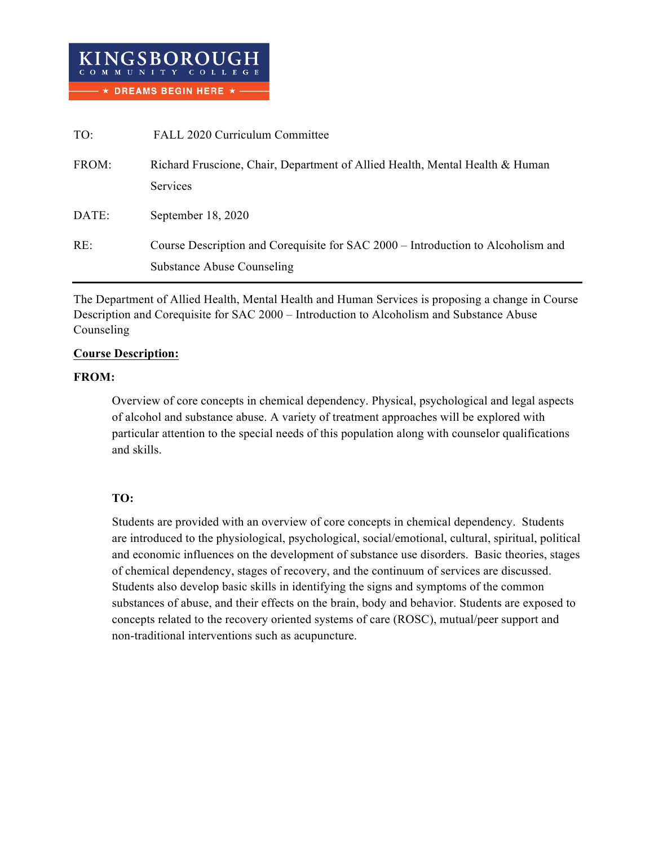| TO:   | FALL 2020 Curriculum Committee                                                                                        |
|-------|-----------------------------------------------------------------------------------------------------------------------|
| FROM: | Richard Fruscione, Chair, Department of Allied Health, Mental Health & Human<br>Services                              |
| DATE: | September 18, 2020                                                                                                    |
| RE:   | Course Description and Corequisite for SAC 2000 – Introduction to Alcoholism and<br><b>Substance Abuse Counseling</b> |

The Department of Allied Health, Mental Health and Human Services is proposing a change in Course Description and Corequisite for SAC 2000 – Introduction to Alcoholism and Substance Abuse Counseling

### **Course Description:**

### **FROM:**

Overview of core concepts in chemical dependency. Physical, psychological and legal aspects of alcohol and substance abuse. A variety of treatment approaches will be explored with particular attention to the special needs of this population along with counselor qualifications and skills.

# **TO:**

Students are provided with an overview of core concepts in chemical dependency. Students are introduced to the physiological, psychological, social/emotional, cultural, spiritual, political and economic influences on the development of substance use disorders. Basic theories, stages of chemical dependency, stages of recovery, and the continuum of services are discussed. Students also develop basic skills in identifying the signs and symptoms of the common substances of abuse, and their effects on the brain, body and behavior. Students are exposed to concepts related to the recovery oriented systems of care (ROSC), mutual/peer support and non-traditional interventions such as acupuncture.